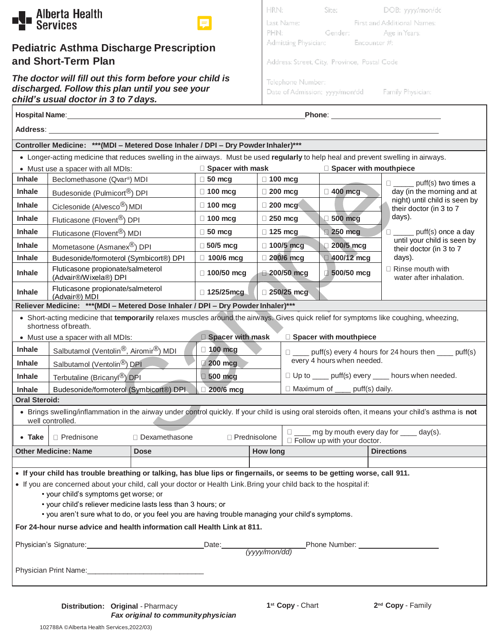

### **Pediatric Asthma Discharge Prescription and Short-Term Plan**

*The doctor will fill out this form before your child is discharged. Follow this plan until you see your child's usual doctor in 3 to 7 days.*

| HRN:                                         | Site:   | DOB: yyyy/mon/dd            |
|----------------------------------------------|---------|-----------------------------|
| Last Name:                                   |         | First and Additional Names: |
| PHN:                                         | Gender: | Age in Years:               |
| Admitting Physician: Encounter #:            |         |                             |
|                                              |         |                             |
| Address: Street, City, Province, Postal Code |         |                             |
| Telephone Number:                            |         |                             |
| Date of Admission: yyyy/mon/dd               |         | Family Physician:           |
|                                              |         |                             |

| Hospital Name:<br>Phone: __________________________                                                                                                                                                                                                                                                                                                                                                                                                                                                                                                                                                                                                                                                                                            |                                                                                                                                                      |                 |                         |                                                                      |                               |                                                                                     |  |  |
|------------------------------------------------------------------------------------------------------------------------------------------------------------------------------------------------------------------------------------------------------------------------------------------------------------------------------------------------------------------------------------------------------------------------------------------------------------------------------------------------------------------------------------------------------------------------------------------------------------------------------------------------------------------------------------------------------------------------------------------------|------------------------------------------------------------------------------------------------------------------------------------------------------|-----------------|-------------------------|----------------------------------------------------------------------|-------------------------------|-------------------------------------------------------------------------------------|--|--|
| Address: Address: Address: Address: Address: Address: Address: Address: Address: Address: Address: A                                                                                                                                                                                                                                                                                                                                                                                                                                                                                                                                                                                                                                           |                                                                                                                                                      |                 |                         |                                                                      |                               |                                                                                     |  |  |
| Controller Medicine: *** (MDI - Metered Dose Inhaler / DPI - Dry Powder Inhaler)***                                                                                                                                                                                                                                                                                                                                                                                                                                                                                                                                                                                                                                                            |                                                                                                                                                      |                 |                         |                                                                      |                               |                                                                                     |  |  |
| • Longer-acting medicine that reduces swelling in the airways. Must be used regularly to help heal and prevent swelling in airways.                                                                                                                                                                                                                                                                                                                                                                                                                                                                                                                                                                                                            |                                                                                                                                                      |                 |                         |                                                                      |                               |                                                                                     |  |  |
| • Must use a spacer with all MDIs:                                                                                                                                                                                                                                                                                                                                                                                                                                                                                                                                                                                                                                                                                                             |                                                                                                                                                      |                 | $\Box$ Spacer with mask |                                                                      |                               | □ Spacer with mouthpiece                                                            |  |  |
| Inhale                                                                                                                                                                                                                                                                                                                                                                                                                                                                                                                                                                                                                                                                                                                                         | Beclomethasone (Qvar®) MDI                                                                                                                           |                 | $\Box$ 50 mcg           | $\Box$ 100 mcg                                                       |                               | $\Box$ ______ puff(s) two times a                                                   |  |  |
| <b>Inhale</b>                                                                                                                                                                                                                                                                                                                                                                                                                                                                                                                                                                                                                                                                                                                                  | Budesonide (Pulmicort <sup>®</sup> ) DPI                                                                                                             |                 | $\Box$ 100 mcg          | $\Box$ 200 mcg                                                       | $\Box$ 400 mcg                | day (in the morning and at<br>night) until child is seen by                         |  |  |
| <b>Inhale</b>                                                                                                                                                                                                                                                                                                                                                                                                                                                                                                                                                                                                                                                                                                                                  | Ciclesonide (Alvesco <sup>®</sup> ) MDI                                                                                                              |                 | $\Box$ 100 mcg          | 200 mcg                                                              |                               | their doctor (in 3 to 7                                                             |  |  |
| Inhale                                                                                                                                                                                                                                                                                                                                                                                                                                                                                                                                                                                                                                                                                                                                         | Fluticasone (Flovent <sup>®</sup> ) DPI                                                                                                              |                 | $\Box$ 100 mcg          | $\Box$ 250 mcg                                                       | $\Box$ 500 mcg                | days).                                                                              |  |  |
| Inhale                                                                                                                                                                                                                                                                                                                                                                                                                                                                                                                                                                                                                                                                                                                                         | Fluticasone (Flovent <sup>®</sup> ) MDI                                                                                                              |                 | $\Box$ 50 mcg           | $\Box$ 125 mcg                                                       | 250 mcg                       | $\Box$ puff(s) once a day<br>until your child is seen by<br>their doctor (in 3 to 7 |  |  |
| <b>Inhale</b>                                                                                                                                                                                                                                                                                                                                                                                                                                                                                                                                                                                                                                                                                                                                  | Mometasone (Asmanex®) DPI                                                                                                                            |                 | $\Box$ 50/5 mcg         | $\Box$ 100/5 mcg                                                     | 200/5 mcg                     |                                                                                     |  |  |
| <b>Inhale</b>                                                                                                                                                                                                                                                                                                                                                                                                                                                                                                                                                                                                                                                                                                                                  | Budesonide/formoterol (Symbicort®) DPI                                                                                                               |                 | $\Box$ 100/6 mcg        | 200/6 mcg                                                            | $\Box$ 400/12 mcg             | days).                                                                              |  |  |
| <b>Inhale</b>                                                                                                                                                                                                                                                                                                                                                                                                                                                                                                                                                                                                                                                                                                                                  | Fluticasone propionate/salmeterol<br>(Advair®/Wixela®) DPI                                                                                           |                 | $\Box$ 100/50 mcg       | $\Box$ 200/50 mcg                                                    | $\Box$ 500/50 mcg             | $\Box$ Rinse mouth with<br>water after inhalation.                                  |  |  |
| <b>Inhale</b>                                                                                                                                                                                                                                                                                                                                                                                                                                                                                                                                                                                                                                                                                                                                  | Fluticasone propionate/salmeterol<br>(Advair®) MDI                                                                                                   |                 | $\Box$ 125/25mcg        | $\Box$ 250/25 mcg                                                    |                               |                                                                                     |  |  |
| Reliever Medicine: *** (MDI - Metered Dose Inhaler / DPI - Dry Powder Inhaler)***                                                                                                                                                                                                                                                                                                                                                                                                                                                                                                                                                                                                                                                              |                                                                                                                                                      |                 |                         |                                                                      |                               |                                                                                     |  |  |
| • Short-acting medicine that temporarily relaxes muscles around the airways. Gives quick relief for symptoms like coughing, wheezing,<br>shortness of breath.                                                                                                                                                                                                                                                                                                                                                                                                                                                                                                                                                                                  |                                                                                                                                                      |                 |                         |                                                                      |                               |                                                                                     |  |  |
| <b>Spacer with mask</b><br>Spacer with mouthpiece<br>• Must use a spacer with all MDIs:                                                                                                                                                                                                                                                                                                                                                                                                                                                                                                                                                                                                                                                        |                                                                                                                                                      |                 |                         |                                                                      |                               |                                                                                     |  |  |
| Inhale                                                                                                                                                                                                                                                                                                                                                                                                                                                                                                                                                                                                                                                                                                                                         | Salbutamol (Ventolin <sup>®</sup> , Airomir <sup>®</sup> ) MDI<br>$\Box$ 100 mcg<br>$\Box$ ____ puff(s) every 4 hours for 24 hours then ____ puff(s) |                 |                         |                                                                      |                               |                                                                                     |  |  |
| Inhale                                                                                                                                                                                                                                                                                                                                                                                                                                                                                                                                                                                                                                                                                                                                         | every 4 hours when needed.<br>200 mcg<br>Salbutamol (Ventolin <sup>®</sup> ) DPI                                                                     |                 |                         |                                                                      |                               |                                                                                     |  |  |
| Inhale                                                                                                                                                                                                                                                                                                                                                                                                                                                                                                                                                                                                                                                                                                                                         | Terbutaline (Bricanyl <sup>®</sup> ) DPI                                                                                                             |                 |                         | □ Up to ____ puff(s) every ____ hours when needed.<br>$\Box$ 500 mcg |                               |                                                                                     |  |  |
| □ Maximum of ____ puff(s) daily.<br>200/6 mcg<br><b>Inhale</b><br>Budesonide/formoterol (Symbicort®) DPI                                                                                                                                                                                                                                                                                                                                                                                                                                                                                                                                                                                                                                       |                                                                                                                                                      |                 |                         |                                                                      |                               |                                                                                     |  |  |
| <b>Oral Steroid:</b>                                                                                                                                                                                                                                                                                                                                                                                                                                                                                                                                                                                                                                                                                                                           |                                                                                                                                                      |                 |                         |                                                                      |                               |                                                                                     |  |  |
| • Brings swelling/inflammation in the airway under control quickly. If your child is using oral steroids often, it means your child's asthma is not<br>well controlled.                                                                                                                                                                                                                                                                                                                                                                                                                                                                                                                                                                        |                                                                                                                                                      |                 |                         |                                                                      |                               |                                                                                     |  |  |
| $\bullet$ Take                                                                                                                                                                                                                                                                                                                                                                                                                                                                                                                                                                                                                                                                                                                                 | $\Box$ Prednisone                                                                                                                                    | □ Dexamethasone |                         | □ Prednisolone                                                       |                               | mg by mouth every day for _____ day(s).                                             |  |  |
|                                                                                                                                                                                                                                                                                                                                                                                                                                                                                                                                                                                                                                                                                                                                                | <b>Other Medicine: Name</b>                                                                                                                          | <b>Dose</b>     |                         | <b>How long</b>                                                      | □ Follow up with your doctor. | <b>Directions</b>                                                                   |  |  |
|                                                                                                                                                                                                                                                                                                                                                                                                                                                                                                                                                                                                                                                                                                                                                |                                                                                                                                                      |                 |                         |                                                                      |                               |                                                                                     |  |  |
| . If your child has trouble breathing or talking, has blue lips or fingernails, or seems to be getting worse, call 911.<br>• If you are concerned about your child, call your doctor or Health Link. Bring your child back to the hospital if:<br>• your child's symptoms get worse; or<br>• your child's reliever medicine lasts less than 3 hours; or<br>• you aren't sure what to do, or you feel you are having trouble managing your child's symptoms.<br>For 24-hour nurse advice and health information call Health Link at 811.<br>Physician's Signature: Date: Date: Phone Number: Phone Number: Phone Number: 2014<br>Physician Print Name: 2008 - 2009 - 2010 - 2010 - 2010 - 2010 - 2010 - 2010 - 2010 - 2010 - 2010 - 2010 - 2010 |                                                                                                                                                      |                 |                         |                                                                      |                               |                                                                                     |  |  |

 $\mathbf{I}$